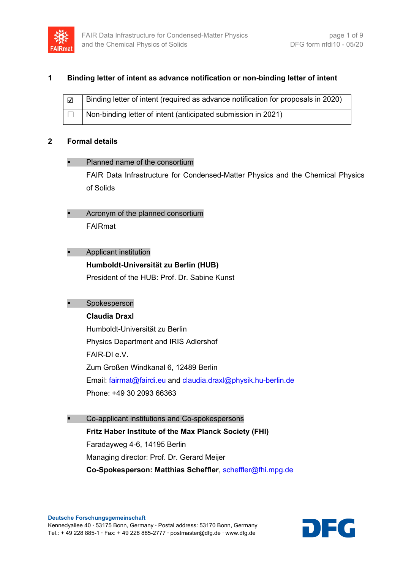

## **1 Binding letter of intent as advance notification or non-binding letter of intent**

| $\overline{\mathbf{v}}$ | Binding letter of intent (required as advance notification for proposals in 2020) |
|-------------------------|-----------------------------------------------------------------------------------|
|                         | Non-binding letter of intent (anticipated submission in 2021)                     |

### **2 Formal details**

### Planned name of the consortium

FAIR Data Infrastructure for Condensed-Matter Physics and the Chemical Physics of Solids

 Acronym of the planned consortium FAIRmat

## Applicant institution

## **Humboldt-Universität zu Berlin (HUB)**

President of the HUB: Prof. Dr. Sabine Kunst

## Spokesperson

## **Claudia Draxl**

Humboldt-Universität zu Berlin Physics Department and IRIS Adlershof FAIR-DI e.V. Zum Großen Windkanal 6, 12489 Berlin Email: [fairmat@fairdi.eu](mailto:fairmat@fairdi.eu) and [claudia.draxl@physik.hu-berlin.de](mailto:claudia.draxl@physik.hu-berlin.de) Phone: +49 30 2093 66363

 Co-applicant institutions and Co-spokespersons **Fritz Haber Institute of the Max Planck Society (FHI)** Faradayweg 4-6, 14195 Berlin Managing director: Prof. Dr. Gerard Meijer **Co-Spokesperson: Matthias Scheffler**, [scheffler@fhi.mpg.de](mailto:scheffler@fhi.mpg.de)

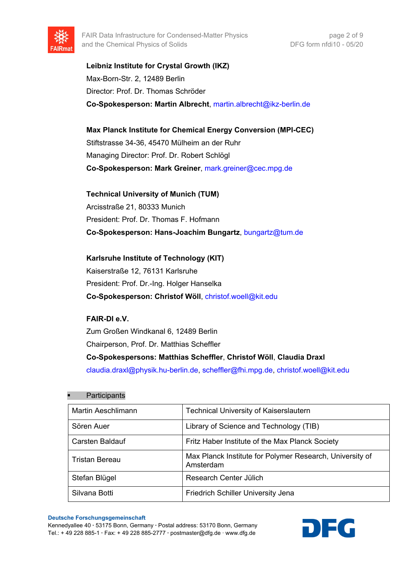

**Leibniz Institute for Crystal Growth (IKZ)** Max-Born-Str. 2, 12489 Berlin Director: Prof. Dr. Thomas Schröder **Co-Spokesperson: Martin Albrecht**, [martin.albrecht@ikz-berlin.de](mailto:martin.albrecht@ikz-berlin.de)

**Max Planck Institute for Chemical Energy Conversion (MPI-CEC)** Stiftstrasse 34-36, 45470 Mülheim an der Ruhr Managing Director: Prof. Dr. Robert Schlögl **Co-Spokesperson: Mark Greiner**, [mark.greiner@cec.mpg.de](mailto:mark.greiner@cec.mpg.de)

**Technical University of Munich (TUM)** Arcisstraße 21, 80333 Munich President: Prof. Dr. Thomas F. Hofmann **Co-Spokesperson: Hans-Joachim Bungartz**, [bungartz@tum.de](mailto:bungartz@tum.de)

**Karlsruhe Institute of Technology (KIT)** Kaiserstraße 12, 76131 Karlsruhe President: Prof. Dr.-Ing. Holger Hanselka **Co-Spokesperson: Christof Wöll**, [christof.woell@kit.edu](mailto:christof.woell@kit.edu)

## **FAIR-DI e.V.**

Zum Großen Windkanal 6, 12489 Berlin Chairperson, Prof. Dr. Matthias Scheffler **Co-Spokespersons: Matthias Scheffler**, **Christof Wöll**, **Claudia Draxl** [claudia.draxl@physik.hu-berlin.de,](mailto:claudia.draxl@physik.hu-berlin.de) [scheffler@fhi.mpg.de,](mailto:scheffler@fhi.mpg.de) [christof.woell@kit.edu](mailto:christof.woell@kit.edu)

#### **Participants**

| <b>Martin Aeschlimann</b> | <b>Technical University of Kaiserslautern</b>                         |
|---------------------------|-----------------------------------------------------------------------|
| Sören Auer                | Library of Science and Technology (TIB)                               |
| Carsten Baldauf           | Fritz Haber Institute of the Max Planck Society                       |
| Tristan Bereau            | Max Planck Institute for Polymer Research, University of<br>Amsterdam |
| Stefan Blügel             | Research Center Jülich                                                |
| Silvana Botti             | <b>Friedrich Schiller University Jena</b>                             |

**Deutsche Forschungsgemeinschaft**

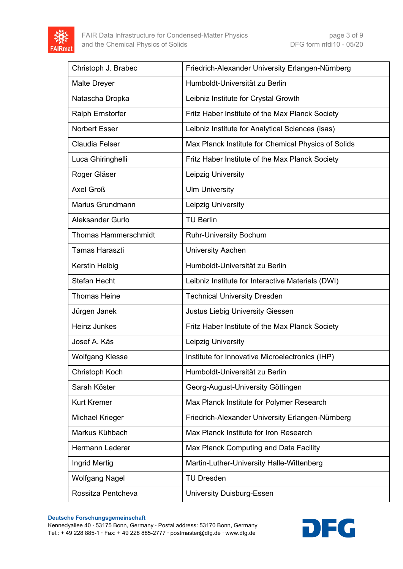

| Christoph J. Brabec         | Friedrich-Alexander University Erlangen-Nürnberg    |
|-----------------------------|-----------------------------------------------------|
| <b>Malte Dreyer</b>         | Humboldt-Universität zu Berlin                      |
| Natascha Dropka             | Leibniz Institute for Crystal Growth                |
| Ralph Ernstorfer            | Fritz Haber Institute of the Max Planck Society     |
| <b>Norbert Esser</b>        | Leibniz Institute for Analytical Sciences (isas)    |
| <b>Claudia Felser</b>       | Max Planck Institute for Chemical Physics of Solids |
| Luca Ghiringhelli           | Fritz Haber Institute of the Max Planck Society     |
| Roger Gläser                | Leipzig University                                  |
| Axel Groß                   | <b>Ulm University</b>                               |
| Marius Grundmann            | Leipzig University                                  |
| Aleksander Gurlo            | <b>TU Berlin</b>                                    |
| <b>Thomas Hammerschmidt</b> | <b>Ruhr-University Bochum</b>                       |
| <b>Tamas Haraszti</b>       | <b>University Aachen</b>                            |
| Kerstin Helbig              | Humboldt-Universität zu Berlin                      |
| <b>Stefan Hecht</b>         | Leibniz Institute for Interactive Materials (DWI)   |
| <b>Thomas Heine</b>         | <b>Technical University Dresden</b>                 |
| Jürgen Janek                | <b>Justus Liebig University Giessen</b>             |
| <b>Heinz Junkes</b>         | Fritz Haber Institute of the Max Planck Society     |
| Josef A. Käs                | Leipzig University                                  |
| <b>Wolfgang Klesse</b>      | Institute for Innovative Microelectronics (IHP)     |
| Christoph Koch              | Humboldt-Universität zu Berlin                      |
| Sarah Köster                | Georg-August-University Göttingen                   |
| <b>Kurt Kremer</b>          | Max Planck Institute for Polymer Research           |
| <b>Michael Krieger</b>      | Friedrich-Alexander University Erlangen-Nürnberg    |
| Markus Kühbach              | Max Planck Institute for Iron Research              |
| Hermann Lederer             | Max Planck Computing and Data Facility              |
| Ingrid Mertig               | Martin-Luther-University Halle-Wittenberg           |
| <b>Wolfgang Nagel</b>       | <b>TU Dresden</b>                                   |
| Rossitza Pentcheva          | <b>University Duisburg-Essen</b>                    |

#### **Deutsche Forschungsgemeinschaft**

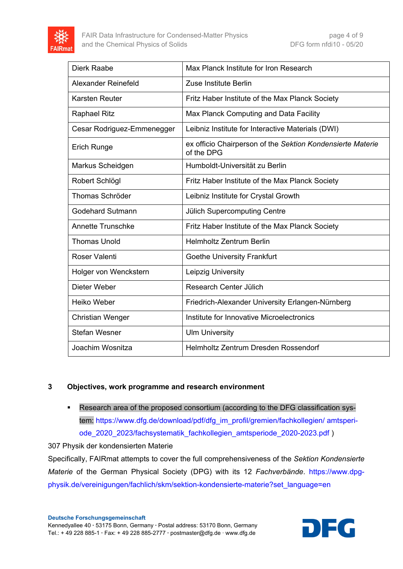

| Dierk Raabe                | Max Planck Institute for Iron Research                                   |
|----------------------------|--------------------------------------------------------------------------|
| Alexander Reinefeld        | Zuse Institute Berlin                                                    |
| <b>Karsten Reuter</b>      | Fritz Haber Institute of the Max Planck Society                          |
| <b>Raphael Ritz</b>        | Max Planck Computing and Data Facility                                   |
| Cesar Rodriguez-Emmenegger | Leibniz Institute for Interactive Materials (DWI)                        |
| <b>Erich Runge</b>         | ex officio Chairperson of the Sektion Kondensierte Materie<br>of the DPG |
| Markus Scheidgen           | Humboldt-Universität zu Berlin                                           |
| Robert Schlögl             | Fritz Haber Institute of the Max Planck Society                          |
| <b>Thomas Schröder</b>     | Leibniz Institute for Crystal Growth                                     |
| Godehard Sutmann           | <b>Jülich Supercomputing Centre</b>                                      |
| <b>Annette Trunschke</b>   | Fritz Haber Institute of the Max Planck Society                          |
| <b>Thomas Unold</b>        | <b>Helmholtz Zentrum Berlin</b>                                          |
| Roser Valenti              | <b>Goethe University Frankfurt</b>                                       |
| Holger von Wenckstern      | Leipzig University                                                       |
| Dieter Weber               | Research Center Jülich                                                   |
| <b>Heiko Weber</b>         | Friedrich-Alexander University Erlangen-Nürnberg                         |
| <b>Christian Wenger</b>    | Institute for Innovative Microelectronics                                |
| <b>Stefan Wesner</b>       | <b>Ulm University</b>                                                    |
| Joachim Wosnitza           | Helmholtz Zentrum Dresden Rossendorf                                     |

## **3 Objectives, work programme and research environment**

 Research area of the proposed consortium (according to the DFG classification system: [https://www.dfg.de/download/pdf/dfg\\_im\\_profil/gremien/fachkollegien/ amtsperi](https://www.dfg.de/download/pdf/dfg_im_profil/gremien/fachkollegien/%20amtsperiode_2020_2023/fachsystematik_fachkollegien_amtsperiode_2020-2023.pdf)ode 2020 2023/fachsystematik fachkollegien amtsperiode 2020-2023.pdf )

307 Physik der kondensierten Materie

Specifically, FAIRmat attempts to cover the full comprehensiveness of the *Sektion Kondensierte Materie* of the German Physical Society (DPG) with its 12 *Fachverbände*. [https://www.dpg](https://www.dpg-physik.de/vereinigungen/fachlich/skm/sektion-kondensierte-materie?set_language=en)[physik.de/vereinigungen/fachlich/skm/sektion-kondensierte-materie?set\\_language=en](https://www.dpg-physik.de/vereinigungen/fachlich/skm/sektion-kondensierte-materie?set_language=en)

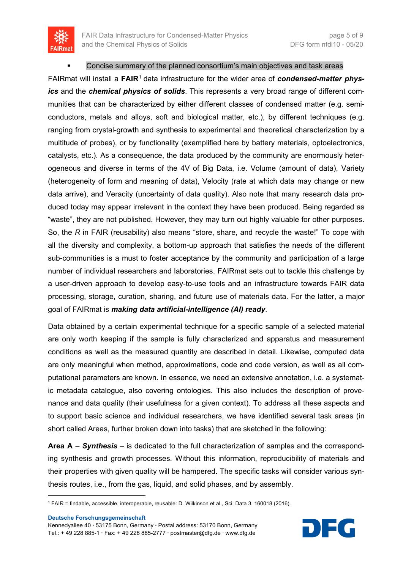

#### Concise summary of the planned consortium's main objectives and task areas

FAIRmat will install a **FAIR**[1](#page-4-0) data infrastructure for the wider area of *condensed-matter physics* and the *chemical physics of solids*. This represents a very broad range of different communities that can be characterized by either different classes of condensed matter (e.g. semiconductors, metals and alloys, soft and biological matter, etc.), by different techniques (e.g. ranging from crystal-growth and synthesis to experimental and theoretical characterization by a multitude of probes), or by functionality (exemplified here by battery materials, optoelectronics, catalysts, etc.). As a consequence, the data produced by the community are enormously heterogeneous and diverse in terms of the 4V of Big Data, i.e. Volume (amount of data), Variety (heterogeneity of form and meaning of data), Velocity (rate at which data may change or new data arrive), and Veracity (uncertainty of data quality). Also note that many research data produced today may appear irrelevant in the context they have been produced. Being regarded as "waste", they are not published. However, they may turn out highly valuable for other purposes. So, the *R* in FAIR (reusability) also means "store, share, and recycle the waste!" To cope with all the diversity and complexity, a bottom-up approach that satisfies the needs of the different sub-communities is a must to foster acceptance by the community and participation of a large number of individual researchers and laboratories. FAIRmat sets out to tackle this challenge by a user-driven approach to develop easy-to-use tools and an infrastructure towards FAIR data processing, storage, curation, sharing, and future use of materials data. For the latter, a major goal of FAIRmat is *making data artificial-intelligence (AI) ready*.

Data obtained by a certain experimental technique for a specific sample of a selected material are only worth keeping if the sample is fully characterized and apparatus and measurement conditions as well as the measured quantity are described in detail. Likewise, computed data are only meaningful when method, approximations, code and code version, as well as all computational parameters are known. In essence, we need an extensive annotation, i.e. a systematic metadata catalogue, also covering ontologies. This also includes the description of provenance and data quality (their usefulness for a given context). To address all these aspects and to support basic science and individual researchers, we have identified several task areas (in short called Areas, further broken down into tasks) that are sketched in the following:

**Area A** – *Synthesis* – is dedicated to the full characterization of samples and the corresponding synthesis and growth processes. Without this information, reproducibility of materials and their properties with given quality will be hampered. The specific tasks will consider various synthesis routes, i.e., from the gas, liquid, and solid phases, and by assembly.

**Deutsche Forschungsgemeinschaft**

**.** 



<span id="page-4-0"></span><sup>1</sup> FAIR = findable, accessible, interoperable, reusable: D. Wilkinson et al., Sci. Data 3, 160018 (2016).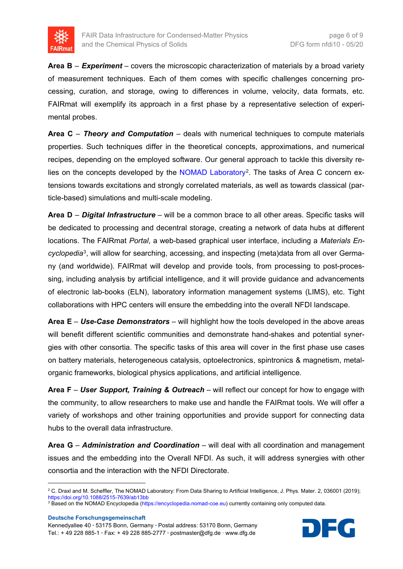

**Area B** – *Experiment* – covers the microscopic characterization of materials by a broad variety of measurement techniques. Each of them comes with specific challenges concerning processing, curation, and storage, owing to differences in volume, velocity, data formats, etc. FAIRmat will exemplify its approach in a first phase by a representative selection of experimental probes.

**Area C** – *Theory and Computation* – deals with numerical techniques to compute materials properties. Such techniques differ in the theoretical concepts, approximations, and numerical recipes, depending on the employed software. Our general approach to tackle this diversity re-lies on the concepts developed by the [NOMAD Laboratory](https://nomad-lab.eu/)<sup>[2](#page-5-0)</sup>. The tasks of Area C concern extensions towards excitations and strongly correlated materials, as well as towards classical (particle-based) simulations and multi-scale modeling.

**Area D** – *Digital Infrastructure* – will be a common brace to all other areas. Specific tasks will be dedicated to processing and decentral storage, creating a network of data hubs at different locations. The FAIRmat *Portal*, a web-based graphical user interface, including a *Materials Encyclopedia*[3](#page-5-1), will allow for searching, accessing, and inspecting (meta)data from all over Germany (and worldwide). FAIRmat will develop and provide tools, from processing to post-processing, including analysis by artificial intelligence, and it will provide guidance and advancements of electronic lab-books (ELN), laboratory information management systems (LIMS), etc. Tight collaborations with HPC centers will ensure the embedding into the overall NFDI landscape.

**Area E** – *Use-Case Demonstrators* – will highlight how the tools developed in the above areas will benefit different scientific communities and demonstrate hand-shakes and potential synergies with other consortia. The specific tasks of this area will cover in the first phase use cases on battery materials, heterogeneous catalysis, optoelectronics, spintronics & magnetism, metalorganic frameworks, biological physics applications, and artificial intelligence.

**Area F** – *User Support, Training & Outreach* – will reflect our concept for how to engage with the community, to allow researchers to make use and handle the FAIRmat tools. We will offer a variety of workshops and other training opportunities and provide support for connecting data hubs to the overall data infrastructure.

**Area G** – *Administration and Coordination* – will deal with all coordination and management issues and the embedding into the Overall NFDI. As such, it will address synergies with other consortia and the interaction with the NFDI Directorate.

**Deutsche Forschungsgemeinschaft**

**.** 



<span id="page-5-0"></span><sup>&</sup>lt;sup>2</sup> C. Draxl and M. Scheffler, The NOMAD Laboratory: From Data Sharing to Artificial Intelligence, J. Phys. Mater. 2, 036001 (2019); <https://doi.org/10.1088/2515-7639/ab13bb>

<span id="page-5-1"></span><sup>&</sup>lt;sup>3</sup> Based on the NOMAD Encyclopedia [\(https://encyclopedia.nomad-coe.eu\)](https://encyclopedia.nomad-coe.eu/) currently containing only computed data.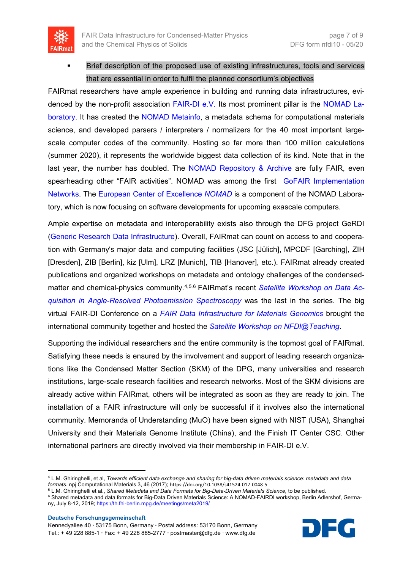

 Brief description of the proposed use of existing infrastructures, tools and services that are essential in order to fulfil the planned consortium's objectives

FAIRmat researchers have ample experience in building and running data infrastructures, evidenced by the non-profit association [FAIR-DI e.V.](https://fair-di.eu/) Its most prominent pillar is the [NOMAD La](https://nomad-lab.eu/)[boratory.](https://nomad-lab.eu/) It has created the [NOMAD Metainfo,](https://metainfo.nomad-coe.eu/) a metadata schema for computational materials science, and developed parsers / interpreters / normalizers for the 40 most important largescale computer codes of the community. Hosting so far more than 100 million calculations (summer 2020), it represents the worldwide biggest data collection of its kind. Note that in the last year, the number has doubled. The [NOMAD Repository](https://nomad-lab.eu/index.php?page=repo-arch) & Archive are fully FAIR, even spearheading other "FAIR activities". NOMAD was among the first GoFAIR Implementation [Networks.](https://www.go-fair.org/implementation-networks/overview/nomad/) The [European Center of Excellence](https://nomad-coe.eu/) *NOMAD* is a component of the NOMAD Laboratory, which is now focusing on software developments for upcoming exascale computers.

Ample expertise on metadata and interoperability exists also through the DFG project GeRDI [\(Generic Research Data Infrastructure\)](https://www.gerdi-project.eu/). Overall, FAIRmat can count on access to and cooperation with Germany's major data and computing facilities (JSC [Jülich], MPCDF [Garching], ZIH [Dresden], ZIB [Berlin], kiz [Ulm], LRZ [Munich], TIB [Hanover], etc.). FAIRmat already created publications and organized workshops on metadata and ontology challenges of the condensedmatter and chemical-physics community.[4,](#page-6-0)[5](#page-6-1),[6](#page-6-2) FAIRmat's recent *[Satellite Workshop on Data Ac](https://th.fhi-berlin.mpg.de/meetings/fairdi2020/index.php?n=Meeting.DataInArpes)[quisition in Angle-Resolved Photoemission Spectroscopy](https://th.fhi-berlin.mpg.de/meetings/fairdi2020/index.php?n=Meeting.DataInArpes)* was the last in the series. The big virtual FAIR-DI Conference on a *[FAIR Data Infrastructure for Materials Genomics](https://th.fhi-berlin.mpg.de/meetings/fairdi2020/index.php?n=Meeting.DataInArpes)* brought the international community together and hosted the *[Satellite Workshop on NFDI@Teaching](https://th.fhi-berlin.mpg.de/meetings/fairdi2020/index.php?n=Meeting.NFDIatTeaching)*.

Supporting the individual researchers and the entire community is the topmost goal of FAIRmat. Satisfying these needs is ensured by the involvement and support of leading research organizations like the Condensed Matter Section (SKM) of the DPG, many universities and research institutions, large-scale research facilities and research networks. Most of the SKM divisions are already active within FAIRmat, others will be integrated as soon as they are ready to join. The installation of a FAIR infrastructure will only be successful if it involves also the international community. Memoranda of Understanding (MuO) have been signed with NIST (USA), Shanghai University and their Materials Genome Institute (China), and the Finish IT Center CSC. Other international partners are directly involved via their membership in FAIR-DI e.V.

<span id="page-6-0"></span><sup>4</sup> L.M. Ghiringhelli, et al, *Towards efficient data exchange and sharing for big-data driven materials science: metadata and data formats*. npj Computational Materials 3, 46 (2017); https://doi.org/10.1038/s41524-017-0048-5

**Deutsche Forschungsgemeinschaft**

<u>.</u>



<sup>5</sup> L.M. Ghiringhelli et al., *Shared Metadata and Data Formats for Big-Data-Driven Materials Science,* to be published.

<span id="page-6-2"></span><span id="page-6-1"></span><sup>6</sup> Shared metadata and data formats for Big-Data Driven Materials Science: A NOMAD-FAIRDI workshop, Berlin Adlershof, Germany, July 8-12, 2019; <https://th.fhi-berlin.mpg.de/meetings/meta2019/>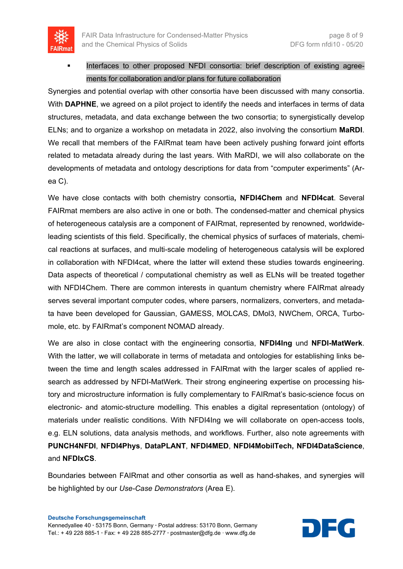

 Interfaces to other proposed NFDI consortia: brief description of existing agreements for collaboration and/or plans for future collaboration

Synergies and potential overlap with other consortia have been discussed with many consortia. With **DAPHNE**, we agreed on a pilot project to identify the needs and interfaces in terms of data structures, metadata, and data exchange between the two consortia; to synergistically develop ELNs; and to organize a workshop on metadata in 2022, also involving the consortium **MaRDI**. We recall that members of the FAIRmat team have been actively pushing forward joint efforts related to metadata already during the last years. With MaRDI, we will also collaborate on the developments of metadata and ontology descriptions for data from "computer experiments" (Area C).

We have close contacts with both chemistry consortia**, NFDI4Chem** and **NFDI4cat**. Several FAIRmat members are also active in one or both. The condensed-matter and chemical physics of heterogeneous catalysis are a component of FAIRmat, represented by renowned, worldwideleading scientists of this field. Specifically, the chemical physics of surfaces of materials, chemical reactions at surfaces, and multi-scale modeling of heterogeneous catalysis will be explored in collaboration with NFDI4cat, where the latter will extend these studies towards engineering. Data aspects of theoretical / computational chemistry as well as ELNs will be treated together with NFDI4Chem. There are common interests in quantum chemistry where FAIRmat already serves several important computer codes, where parsers, normalizers, converters, and metadata have been developed for Gaussian, GAMESS, MOLCAS, DMol3, NWChem, ORCA, Turbomole, etc. by FAIRmat's component NOMAD already.

We are also in close contact with the engineering consortia, **NFDI4Ing** und **NFDI-MatWerk**. With the latter, we will collaborate in terms of metadata and ontologies for establishing links between the time and length scales addressed in FAIRmat with the larger scales of applied research as addressed by NFDI-MatWerk. Their strong engineering expertise on processing history and microstructure information is fully complementary to FAIRmat's basic-science focus on electronic- and atomic-structure modelling. This enables a digital representation (ontology) of materials under realistic conditions. With NFDI4Ing we will collaborate on open-access tools, e.g. ELN solutions, data analysis methods, and workflows. Further, also note agreements with **PUNCH4NFDI**, **NFDI4Phys**, **DataPLANT**, **NFDI4MED**, **NFDI4MobilTech, NFDI4DataScience**, and **NFDIxCS**.

Boundaries between FAIRmat and other consortia as well as hand-shakes, and synergies will be highlighted by our *Use-Case Demonstrators* (Area E).